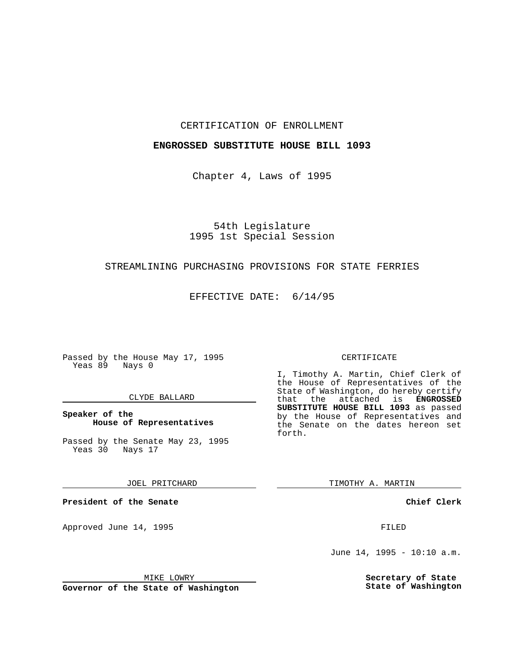#### CERTIFICATION OF ENROLLMENT

## **ENGROSSED SUBSTITUTE HOUSE BILL 1093**

Chapter 4, Laws of 1995

# 54th Legislature 1995 1st Special Session

## STREAMLINING PURCHASING PROVISIONS FOR STATE FERRIES

EFFECTIVE DATE: 6/14/95

Passed by the House May 17, 1995 Yeas 89 Nays 0

#### CLYDE BALLARD

## **Speaker of the House of Representatives**

Passed by the Senate May 23, 1995 Yeas 30 Nays 17

JOEL PRITCHARD

**President of the Senate**

Approved June 14, 1995 FILED

## CERTIFICATE

I, Timothy A. Martin, Chief Clerk of the House of Representatives of the State of Washington, do hereby certify that the attached is **ENGROSSED SUBSTITUTE HOUSE BILL 1093** as passed by the House of Representatives and the Senate on the dates hereon set forth.

TIMOTHY A. MARTIN

**Chief Clerk**

June 14, 1995 - 10:10 a.m.

**Secretary of State State of Washington**

MIKE LOWRY

**Governor of the State of Washington**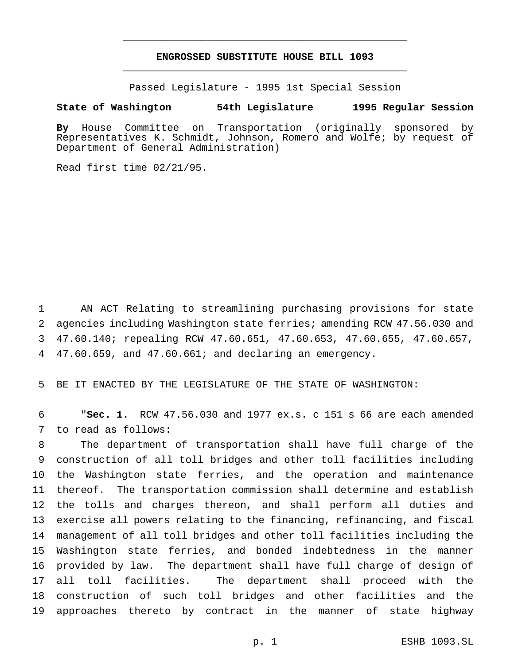# **ENGROSSED SUBSTITUTE HOUSE BILL 1093** \_\_\_\_\_\_\_\_\_\_\_\_\_\_\_\_\_\_\_\_\_\_\_\_\_\_\_\_\_\_\_\_\_\_\_\_\_\_\_\_\_\_\_\_\_\_\_

\_\_\_\_\_\_\_\_\_\_\_\_\_\_\_\_\_\_\_\_\_\_\_\_\_\_\_\_\_\_\_\_\_\_\_\_\_\_\_\_\_\_\_\_\_\_\_

Passed Legislature - 1995 1st Special Session

#### **State of Washington 54th Legislature 1995 Regular Session**

**By** House Committee on Transportation (originally sponsored by Representatives K. Schmidt, Johnson, Romero and Wolfe; by request of Department of General Administration)

Read first time 02/21/95.

 AN ACT Relating to streamlining purchasing provisions for state agencies including Washington state ferries; amending RCW 47.56.030 and 47.60.140; repealing RCW 47.60.651, 47.60.653, 47.60.655, 47.60.657, 47.60.659, and 47.60.661; and declaring an emergency.

BE IT ENACTED BY THE LEGISLATURE OF THE STATE OF WASHINGTON:

 "**Sec. 1.** RCW 47.56.030 and 1977 ex.s. c 151 s 66 are each amended to read as follows:

 The department of transportation shall have full charge of the construction of all toll bridges and other toll facilities including the Washington state ferries, and the operation and maintenance thereof. The transportation commission shall determine and establish the tolls and charges thereon, and shall perform all duties and exercise all powers relating to the financing, refinancing, and fiscal management of all toll bridges and other toll facilities including the Washington state ferries, and bonded indebtedness in the manner provided by law. The department shall have full charge of design of all toll facilities. The department shall proceed with the construction of such toll bridges and other facilities and the approaches thereto by contract in the manner of state highway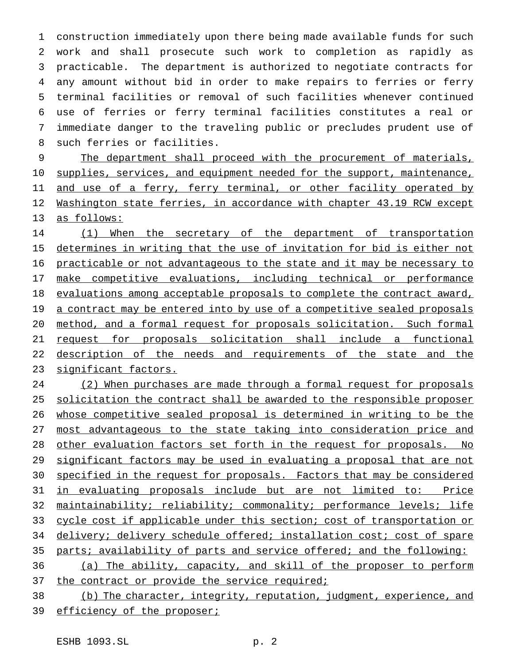construction immediately upon there being made available funds for such work and shall prosecute such work to completion as rapidly as practicable. The department is authorized to negotiate contracts for any amount without bid in order to make repairs to ferries or ferry terminal facilities or removal of such facilities whenever continued use of ferries or ferry terminal facilities constitutes a real or immediate danger to the traveling public or precludes prudent use of such ferries or facilities.

 The department shall proceed with the procurement of materials, 10 supplies, services, and equipment needed for the support, maintenance, 11 and use of a ferry, ferry terminal, or other facility operated by 12 Washington state ferries, in accordance with chapter 43.19 RCW except as follows:

14 (1) When the secretary of the department of transportation 15 determines in writing that the use of invitation for bid is either not practicable or not advantageous to the state and it may be necessary to 17 make competitive evaluations, including technical or performance 18 evaluations among acceptable proposals to complete the contract award, 19 a contract may be entered into by use of a competitive sealed proposals method, and a formal request for proposals solicitation. Such formal request for proposals solicitation shall include a functional 22 description of the needs and requirements of the state and the significant factors.

 (2) When purchases are made through a formal request for proposals solicitation the contract shall be awarded to the responsible proposer whose competitive sealed proposal is determined in writing to be the most advantageous to the state taking into consideration price and other evaluation factors set forth in the request for proposals. No 29 significant factors may be used in evaluating a proposal that are not specified in the request for proposals. Factors that may be considered in evaluating proposals include but are not limited to: Price maintainability; reliability; commonality; performance levels; life cycle cost if applicable under this section; cost of transportation or 34 delivery; delivery schedule offered; installation cost; cost of spare parts; availability of parts and service offered; and the following: 36 (a) The ability, capacity, and skill of the proposer to perform

37 the contract or provide the service required;

 (b) The character, integrity, reputation, judgment, experience, and 39 efficiency of the proposer;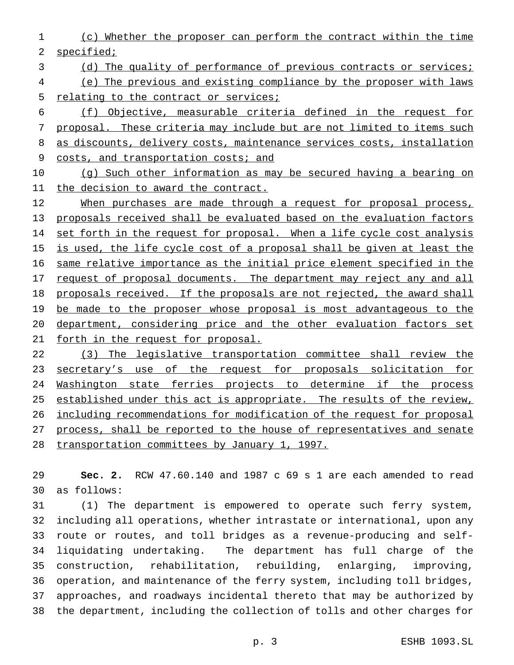- (c) Whether the proposer can perform the contract within the time specified;
- (d) The quality of performance of previous contracts or services;
- (e) The previous and existing compliance by the proposer with laws 5 relating to the contract or services;

 (f) Objective, measurable criteria defined in the request for proposal. These criteria may include but are not limited to items such 8 as discounts, delivery costs, maintenance services costs, installation 9 costs, and transportation costs; and

 (g) Such other information as may be secured having a bearing on 11 the decision to award the contract.

12 When purchases are made through a request for proposal process, proposals received shall be evaluated based on the evaluation factors 14 set forth in the request for proposal. When a life cycle cost analysis 15 is used, the life cycle cost of a proposal shall be given at least the same relative importance as the initial price element specified in the 17 request of proposal documents. The department may reject any and all 18 proposals received. If the proposals are not rejected, the award shall 19 be made to the proposer whose proposal is most advantageous to the department, considering price and the other evaluation factors set forth in the request for proposal.

 (3) The legislative transportation committee shall review the 23 secretary's use of the request for proposals solicitation for 24 Washington state ferries projects to determine if the process 25 established under this act is appropriate. The results of the review, including recommendations for modification of the request for proposal process, shall be reported to the house of representatives and senate transportation committees by January 1, 1997.

 **Sec. 2.** RCW 47.60.140 and 1987 c 69 s 1 are each amended to read as follows:

 (1) The department is empowered to operate such ferry system, including all operations, whether intrastate or international, upon any route or routes, and toll bridges as a revenue-producing and self- liquidating undertaking. The department has full charge of the construction, rehabilitation, rebuilding, enlarging, improving, operation, and maintenance of the ferry system, including toll bridges, approaches, and roadways incidental thereto that may be authorized by the department, including the collection of tolls and other charges for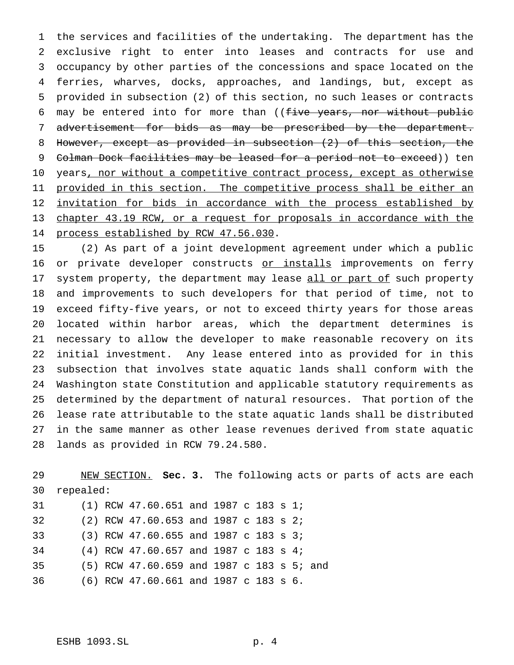the services and facilities of the undertaking. The department has the exclusive right to enter into leases and contracts for use and occupancy by other parties of the concessions and space located on the ferries, wharves, docks, approaches, and landings, but, except as provided in subsection (2) of this section, no such leases or contracts 6 may be entered into for more than ((five years, nor without public advertisement for bids as may be prescribed by the department. However, except as provided in subsection (2) of this section, the 9 Colman Dock facilities may be leased for a period not to exceed)) ten 10 years, nor without a competitive contract process, except as otherwise 11 provided in this section. The competitive process shall be either an 12 invitation for bids in accordance with the process established by chapter 43.19 RCW, or a request for proposals in accordance with the 14 process established by RCW 47.56.030.

 (2) As part of a joint development agreement under which a public 16 or private developer constructs or installs improvements on ferry 17 system property, the department may lease all or part of such property and improvements to such developers for that period of time, not to exceed fifty-five years, or not to exceed thirty years for those areas located within harbor areas, which the department determines is necessary to allow the developer to make reasonable recovery on its initial investment. Any lease entered into as provided for in this subsection that involves state aquatic lands shall conform with the Washington state Constitution and applicable statutory requirements as determined by the department of natural resources. That portion of the lease rate attributable to the state aquatic lands shall be distributed in the same manner as other lease revenues derived from state aquatic lands as provided in RCW 79.24.580.

 NEW SECTION. **Sec. 3.** The following acts or parts of acts are each repealed: (1) RCW 47.60.651 and 1987 c 183 s 1; (2) RCW 47.60.653 and 1987 c 183 s 2; (3) RCW 47.60.655 and 1987 c 183 s 3; (4) RCW 47.60.657 and 1987 c 183 s 4; (5) RCW 47.60.659 and 1987 c 183 s 5; and (6) RCW 47.60.661 and 1987 c 183 s 6.